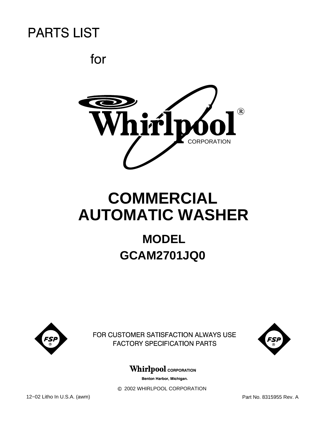

# **COMMERCIAL AUTOMATIC WASHER**

# **MODEL GCAM2701JQ0**



FOR CUSTOMER SATISFACTION ALWAYS USE **FACTORY SPECIFICATION PARTS** 



### **Whirlpool** CORPORATION

Benton Harbor, Michigan.

 $©$  2002 WHIRLPOOL CORPORATION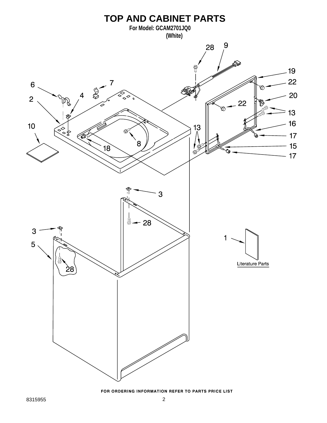

FOR ORDERING INFORMATION REFER TO PARTS PRICE LIST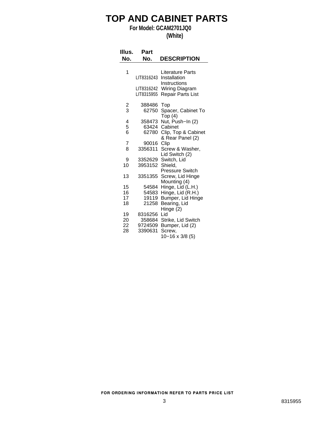### **TOP AND CABINET PARTS**

### **For Model: GCAM2701JQ0**

### **(White)**

| Illus.<br>No. | Part<br>No.     | <b>DESCRIPTION</b>             |
|---------------|-----------------|--------------------------------|
| 1             |                 | Literature Parts               |
|               | LIT8316243      | Installation                   |
|               |                 | Instructions                   |
|               | LIT8316242      | Wiring Diagram                 |
|               | LIT8315955      | Repair Parts List              |
| $\frac{2}{3}$ | 388486          | Top                            |
|               | 62750           | Spacer, Cabinet To             |
|               |                 | Top(4)                         |
| 4<br>5        | 358473<br>63424 | Nut, Push-In (2)<br>Cabinet    |
| 6             | 62780           | Clip, Top & Cabinet            |
|               |                 | & Rear Panel (2)               |
| 7             | 90016           | Clip                           |
| 8             | 3356311         | Screw & Washer,                |
|               |                 | Lid Switch (2)                 |
| 9<br>10       | 3953152         | 3352629 Switch, Lid<br>Shield, |
|               |                 | <b>Pressure Switch</b>         |
| 13            | 3351355         | Screw, Lid Hinge               |
|               |                 | Mounting (4)                   |
| 15            | 54584           | Hinge, Lid (L.H.)              |
| 16            | 54583           | Hinge, Lid (R.H.)              |
| 17<br>18      | 19119<br>21258  | Bumper, Lid Hinge              |
|               |                 | Bearing, Lid<br>Hinge (2)      |
| 19            | 8316256         | Lid                            |
| 20            | 358684          | Strike, Lid Switch             |
| 22            | 9724509         | Bumper, Lid (2)                |
| 28            | 3390631         | Screw,                         |
|               |                 | $10 - 16 \times 3/8$ (5)       |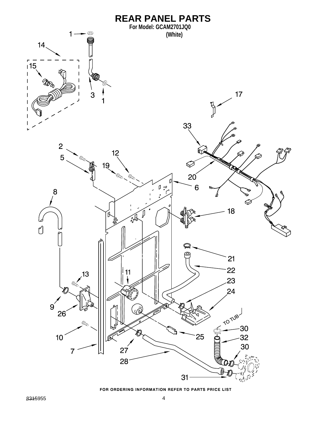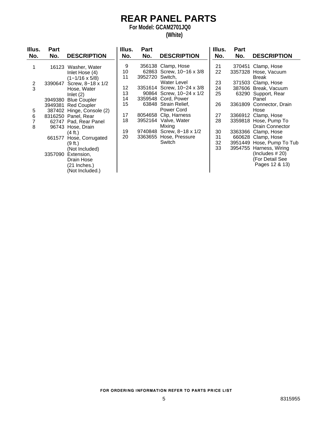# **REAR PANEL PARTS**

**For Model: GCAM2701JQ0**

### **(White)**

| Illus.              | <b>Part</b> |                                                                                       | Illus.   | Part            |                                                             | Illus.         | <b>Part</b> |                                                                                   |
|---------------------|-------------|---------------------------------------------------------------------------------------|----------|-----------------|-------------------------------------------------------------|----------------|-------------|-----------------------------------------------------------------------------------|
| No.                 | No.         | <b>DESCRIPTION</b>                                                                    | No.      | No.             | <b>DESCRIPTION</b>                                          | No.            | No.         | <b>DESCRIPTION</b>                                                                |
| 1                   |             | 16123 Washer, Water<br>Inlet Hose (4)                                                 | 9<br>10  |                 | 356138 Clamp, Hose<br>62863 Screw, 10-16 x 3/8              | 21<br>22       |             | 370451 Clamp, Hose<br>3357328 Hose, Vacuum                                        |
| $\overline{2}$<br>3 | 3390647     | $(1 - 1/16 \times 5/8)$<br>Screw, 8-18 x 1/2<br>Hose, Water                           | 11<br>12 | 3952720 Switch, | Water Level<br>3351614 Screw, 10-24 x 3/8                   | 23<br>24       |             | Break<br>371503 Clamp, Hose<br>387606 Break, Vacuum                               |
|                     |             | Inlet $(2)$<br>3949380 Blue Coupler                                                   | 13<br>14 |                 | 90864 Screw, 10-24 x 1/2<br>3359548 Cord, Power             | 25             |             | 63290 Support, Rear<br>Panel                                                      |
| 5                   |             | 3949381 Red Coupler<br>387402 Hinge, Console (2)                                      | 15<br>17 |                 | 63848 Strain Relief,<br>Power Cord<br>8054658 Clip, Harness | 26             |             | 3361809 Connector, Drain<br>Hose<br>3366912 Clamp, Hose                           |
| 6<br>7<br>8         |             | 8316250 Panel, Rear<br>62747 Pad, Rear Panel<br>96743 Hose, Drain                     | 18       |                 | 3952164 Valve, Water<br>Mixing                              | 27<br>28       |             | 3359818 Hose, Pump To<br><b>Drain Connector</b>                                   |
|                     | 661577      | $(4 \text{ ft.})$<br>Hose, Corrugated<br>(9 ft.)                                      | 19<br>20 | 3363655         | 9740848 Screw, 8-18 x 1/2<br>Hose, Pressure<br>Switch       | 30<br>31<br>32 |             | 3363366 Clamp, Hose<br>660628 Clamp, Hose<br>3951449 Hose, Pump To Tub            |
|                     |             | (Not Included)<br>3357090 Extension,<br>Drain Hose<br>(21 Inches.)<br>(Not Included.) |          |                 |                                                             | 33             |             | 3954755 Harness, Wiring<br>(Includes $#20$ )<br>(For Detail See<br>Pages 12 & 13) |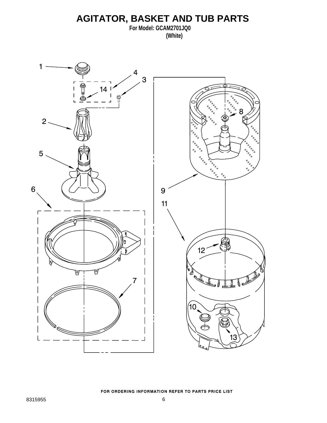### **AGITATOR, BASKET AND TUB PARTS**

**For Model: GCAM2701JQ0 (White)**

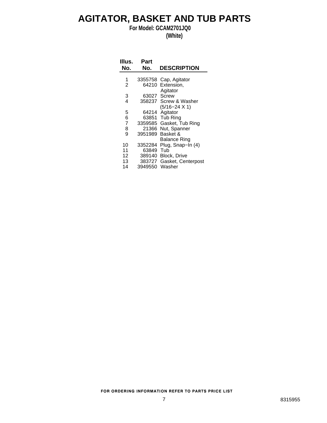### **AGITATOR, BASKET AND TUB PARTS**

**For Model: GCAM2701JQ0**

**(White)**

| Illus. | Part |                    |
|--------|------|--------------------|
| No.    | No.  | <b>DESCRIPTION</b> |
|        |      |                    |

| 1              |         | 3355758 Cap, Agitator  |
|----------------|---------|------------------------|
| 2              |         | 64210 Extension,       |
|                |         | Agitator               |
| 3              | 63027   | Screw                  |
| 4              |         | 358237 Screw & Washer  |
|                |         | $(5/16 - 24 \times 1)$ |
| 5              |         | 64214 Agitator         |
| 6              |         | 63851 Tub Ring         |
| $\overline{7}$ | 3359585 | Gasket, Tub Ring       |
| 8              | 21366   | Nut, Spanner           |
| 9              | 3951989 | Basket &               |
|                |         | Balance Ring           |
| 10             | 3352284 | Plug, Snap-In (4)      |
| 11             | 63849   | Tub                    |
| 12             | 389140  | Block, Drive           |
| 13             | 383727  | Gasket, Centerpost     |
| 14             | 3949550 | Washer                 |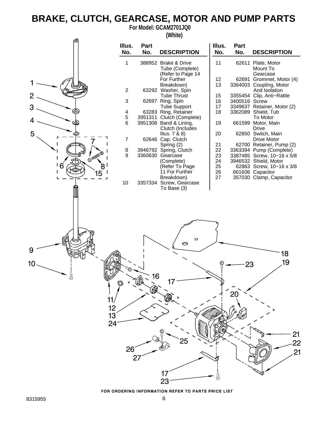## **BRAKE, CLUTCH, GEARCASE, MOTOR AND PUMP PARTS**

**For Model: GCAM2701JQ0**

**(White)**

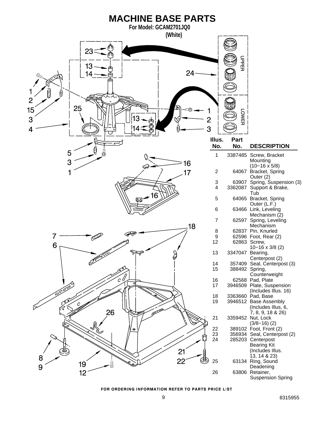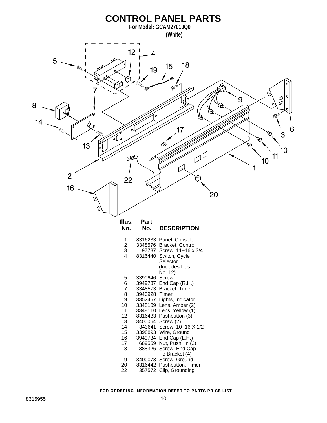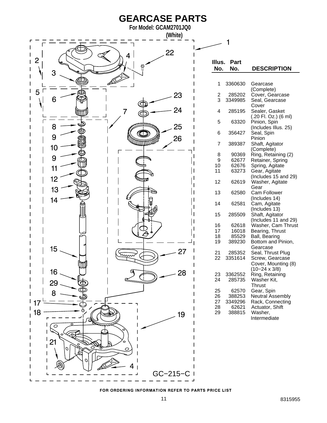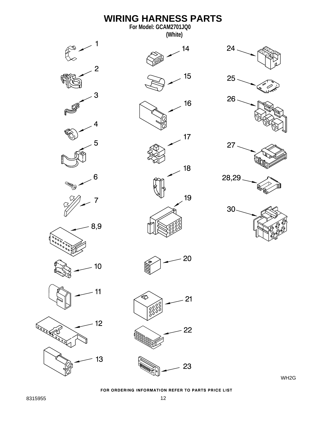

WH2G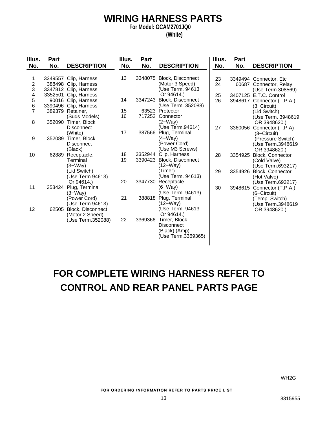### **WIRING HARNESS PARTS**

**For Model: GCAM2701JQ0**

### **(White)**

| Illus.                              | <b>Part</b> |                                                                 | Illus.   | Part    |                                                                             | Illus.   | Part               |                                                                           |
|-------------------------------------|-------------|-----------------------------------------------------------------|----------|---------|-----------------------------------------------------------------------------|----------|--------------------|---------------------------------------------------------------------------|
| No.                                 | No.         | <b>DESCRIPTION</b>                                              | No.      | No.     | <b>DESCRIPTION</b>                                                          | No.      | No.                | <b>DESCRIPTION</b>                                                        |
| 1                                   |             | 3349557 Clip, Harness<br>388498 Clip, Harness                   | 13       |         | 3348075 Block, Disconnect<br>(Motor 3 Speed)                                | 23<br>24 |                    | 3349494 Connector, Etc<br>60687 Connector, Relay                          |
| $\frac{2}{3}$<br>4<br>$\frac{5}{6}$ | 3352501     | 3347812 Clip, Harness<br>Clip, Harness<br>90016 Clip, Harness   | 14       | 3347243 | (Use Term. 94613<br>Or 94614.)<br>Block, Disconnect                         | 25<br>26 | 3948617            | (Use Term.308569)<br>3407125 E.T.C. Control<br>Connector (T.P.A.)         |
| $\overline{7}$                      |             | 3390496 Clip, Harness<br>389379 Retainer,<br>(Suds Models)      | 15<br>16 |         | (Use Term. 352088)<br>63523 Protector<br>717252 Connector                   |          |                    | (3–Circuit)<br>(Lid Switch)<br>(Use Term. 3948619                         |
| 8                                   | 352090      | Timer, Block<br><b>Disconnect</b><br>(White)                    | 17       | 387566  | $(2-Way)$<br>(Use Term.94614)<br>Plug, Terminal                             | 27       | 3360056            | OR 3948620.)<br>Connector (T.P.A)<br>(3–Circuit)                          |
| 9                                   | 352089      | Timer, Block<br><b>Disconnect</b><br>(Black)                    |          |         | $(4-Way)$<br>(Power Cord)<br>(Use M3 Screws)                                |          |                    | (Pressure Switch)<br>(Use Term.3948619<br>OR 3948620.)                    |
| 10                                  |             | 62889 Receptacle,<br>Terminal<br>$(3-Way)$<br>(Lid Switch)      | 18<br>19 |         | 3352944 Clip, Harness<br>3390423 Block, Disconnect<br>$(12-Way)$<br>(Timer) | 28<br>29 | 3354925<br>3354926 | Block, Connector<br>(Cold Valve)<br>(Use Term.693217)<br>Block, Connector |
|                                     |             | (Use Term.94613)<br>Or 94614.)                                  | 20       | 3347730 | (Use Term. 94613)<br>Receptacle                                             |          |                    | (Hot Valve)<br>(Use Term.693217)                                          |
| 11                                  |             | 353424 Plug, Terminal<br>$(3-Way)$<br>(Power Cord)              | 21       | 388818  | $(6-Wav)$<br>(Use Term. 94613)<br>Plug, Terminal                            | 30       | 3948615            | Connector (T.P.A.)<br>(6–Circuit)<br>(Temp. Switch)                       |
| 12                                  | 62505       | (Use Term.94613)<br><b>Block, Disconnect</b><br>(Motor 2 Speed) |          |         | $(12-Way)$<br>(Use Term. 94613<br>Or 94614.)                                |          |                    | (Use Term.3948619<br>OR 3948620.)                                         |
|                                     |             | (Use Term.352088)                                               | 22       | 3369366 | Timer, Block<br><b>Disconnect</b><br>(Black) (Amp)<br>(Use Term.3369365)    |          |                    |                                                                           |

# **FOR COMPLETE WIRING HARNESS REFER TO CONTROL AND REAR PANEL PARTS PAGE**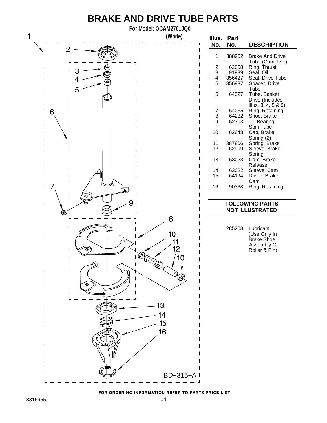## **BRAKE AND DRIVE TUBE PARTS**